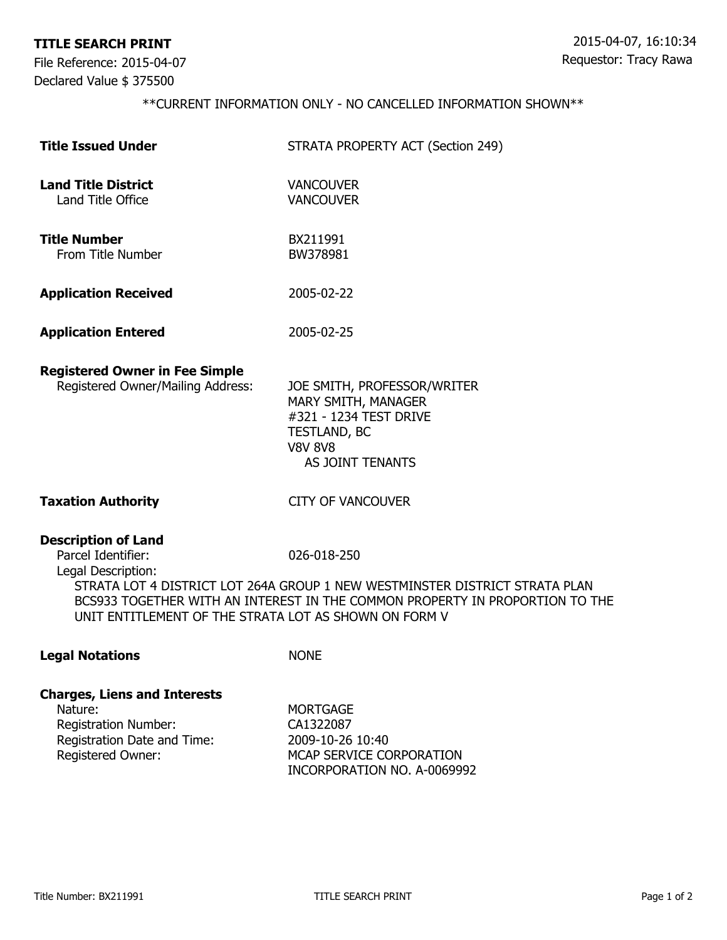## **TITLE SEARCH PRINT**

File Reference: 2015-04-07 Declared Value \$ 375500

## \*\*CURRENT INFORMATION ONLY - NO CANCELLED INFORMATION SHOWN\*\*

| <b>Title Issued Under</b>                                                                                                       | STRATA PROPERTY ACT (Section 249)                                                                                                                                          |
|---------------------------------------------------------------------------------------------------------------------------------|----------------------------------------------------------------------------------------------------------------------------------------------------------------------------|
| <b>Land Title District</b><br>Land Title Office                                                                                 | <b>VANCOUVER</b><br><b>VANCOUVER</b>                                                                                                                                       |
| <b>Title Number</b><br>From Title Number                                                                                        | BX211991<br>BW378981                                                                                                                                                       |
| <b>Application Received</b>                                                                                                     | 2005-02-22                                                                                                                                                                 |
| <b>Application Entered</b>                                                                                                      | 2005-02-25                                                                                                                                                                 |
| <b>Registered Owner in Fee Simple</b><br>Registered Owner/Mailing Address:                                                      | JOE SMITH, PROFESSOR/WRITER<br>MARY SMITH, MANAGER<br>#321 - 1234 TEST DRIVE<br>TESTLAND, BC<br><b>V8V 8V8</b><br>AS JOINT TENANTS                                         |
| <b>Taxation Authority</b>                                                                                                       | <b>CITY OF VANCOUVER</b>                                                                                                                                                   |
| <b>Description of Land</b><br>Parcel Identifier:<br>Legal Description:<br>UNIT ENTITLEMENT OF THE STRATA LOT AS SHOWN ON FORM V | 026-018-250<br>STRATA LOT 4 DISTRICT LOT 264A GROUP 1 NEW WESTMINSTER DISTRICT STRATA PLAN<br>BCS933 TOGETHER WITH AN INTEREST IN THE COMMON PROPERTY IN PROPORTION TO THE |
| <b>Legal Notations</b>                                                                                                          | <b>NONE</b>                                                                                                                                                                |
| <b>Charges, Liens and Interests</b><br>Nature:<br><b>Registration Number:</b><br>Registration Date and Time:                    | <b>MORTGAGE</b><br>CA1322087<br>2009-10-26 10:40                                                                                                                           |

Registered Owner: MCAP SERVICE CORPORATION

INCORPORATION NO. A-0069992